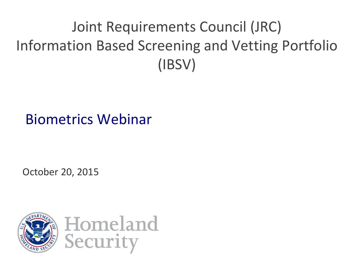## Information Based Screening and Vetting Portfolio Joint Requirements Council (JRC) (IBSV)

#### Biometrics Webinar

October 20, 2015



Homeland **Security**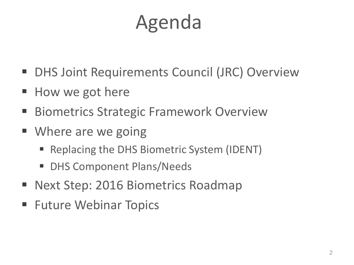# Agenda

- DHS Joint Requirements Council (JRC) Overview
- $\blacksquare$  How we got here
- **Biometrics Strategic Framework Overview**
- Where are we going
	- **Replacing the DHS Biometric System (IDENT)**
	- **DHS Component Plans/Needs**
- Next Step: 2016 Biometrics Roadmap
- **Future Webinar Topics**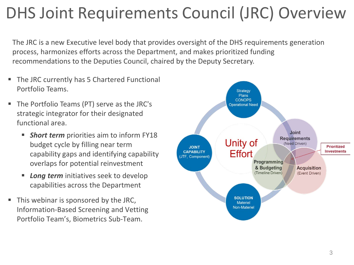## DHS Joint Requirements Council (JRC) Overview

 The JRC is a new Executive level body that provides oversight of the DHS requirements generation process, harmonizes efforts across the Department, and makes prioritized funding recommendations to the Deputies Council, chaired by the Deputy Secretary.

- **The JRC currently has 5 Chartered Functional** Portfolio Teams.
- **The Portfolio Teams (PT) serve as the JRC's**  strategic integrator for their designated functional area.
	- budget cycle by filling near term capability gaps and identifying capability overlaps for potential reinvestment **Short term** priorities aim to inform FY18
	- **Long term** initiatives seek to develop capabilities across the Department
- This webinar is sponsored by the JRC, Information-Based Screening and Vetting Portfolio Team's, Biometrics Sub-Team.

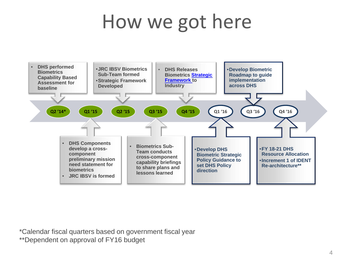## How we got here



 \*Calendar fiscal quarters based on government fiscal year \*\*Dependent on approval of FY16 budget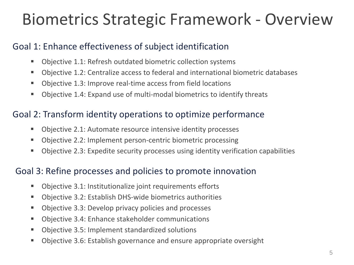## Biometrics Strategic Framework - Overview

#### Goal 1: Enhance effectiveness of subject identification

- **Diective 1.1: Refresh outdated biometric collection systems**
- **Diective 1.2: Centralize access to federal and international biometric databases**
- Objective 1.3: Improve real-time access from field locations
- **Dianary 1.4: Expand use of multi-modal biometrics to identify threats**

#### Goal 2: Transform identity operations to optimize performance

- **-** Objective 2.1: Automate resource intensive identity processes
- **Diangler 12.1** Objective 2.2: Implement person-centric biometric processing
- **Diangler 12.3: Expedite security processes using identity verification capabilities**

#### : Goal 3: Refine processes and policies to promote innovation

- Objective 3.1: Institutionalize joint requirements efforts
- Objective 3.2: Establish DHS-wide biometrics authorities
- **Diangler 3.3: Develop privacy policies and processes**
- **Diective 3.4: Enhance stakeholder communications**
- Objective 3.5: Implement standardized solutions
- **Dianary 19.5.** Objective 3.6: Establish governance and ensure appropriate oversight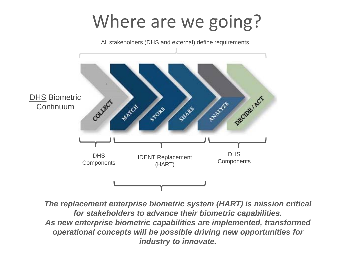## Where are we going?

All stakeholders (DHS and external) define requirements



 *operational concepts will be possible driving new opportunities for The replacement enterprise biometric system (HART) is mission critical for stakeholders to advance their biometric capabilities. As new enterprise biometric capabilities are implemented, transformed industry to innovate.*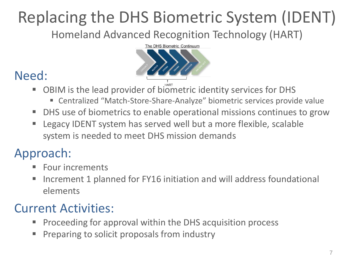### Replacing the DHS Biometric System (IDENT) Homeland Advanced Recognition Technology (HART)



#### Need:

- **DIM** is the lead provider of biometric identity services for DHS
	- Centralized "Match-Store-Share-Analyze" biometric services provide value
- **DHS** use of biometrics to enable operational missions continues to grow
- **Legacy IDENT system has served well but a more flexible, scalable** system is needed to meet DHS mission demands

#### Approach:

- Four increments
- **Increment 1 planned for FY16 initiation and will address foundational** elements

#### Current Activities:

- **Proceeding for approval within the DHS acquisition process**
- **Preparing to solicit proposals from industry**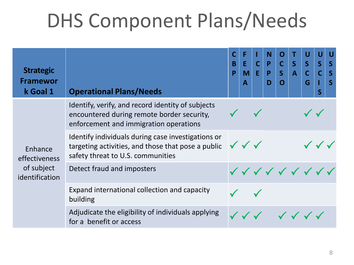## DHS Component Plans/Needs

| <b>Strategic</b><br><b>Framewor</b><br>k Goal 1          | <b>Operational Plans/Needs</b>                                                                                                                                  | C<br>B<br>P | E.<br>M <sub>1</sub><br>$\mathbf{A}$ | N<br>D | $\mathbf 0$<br>$\begin{array}{c c c c c c c} \hline C & P & C & S & S \\ \hline E & P & S & A & C \end{array}$<br>$\Omega$ | U<br>G | U<br>S<br>S | S<br>$\overline{\mathsf{S}}$ |
|----------------------------------------------------------|-----------------------------------------------------------------------------------------------------------------------------------------------------------------|-------------|--------------------------------------|--------|----------------------------------------------------------------------------------------------------------------------------|--------|-------------|------------------------------|
| Enhance<br>effectiveness<br>of subject<br>identification | Identify, verify, and record identity of subjects<br>encountered during remote border security,<br>enforcement and immigration operations                       |             |                                      |        |                                                                                                                            |        |             |                              |
|                                                          | Identify individuals during case investigations or<br>targeting activities, and those that pose a public $\sqrt{\sqrt{2}}$<br>safety threat to U.S. communities |             |                                      |        |                                                                                                                            |        |             |                              |
|                                                          | Detect fraud and imposters                                                                                                                                      |             |                                      |        | $\sqrt{\phantom{a}}\sqrt{\phantom{a}}\sqrt{\phantom{a}}\sqrt{\phantom{a}}\sqrt{\phantom{a}}\sqrt{\phantom{a}}$             |        |             |                              |
|                                                          | Expand international collection and capacity<br>building                                                                                                        |             |                                      |        |                                                                                                                            |        |             |                              |
|                                                          | Adjudicate the eligibility of individuals applying<br>for a benefit or access                                                                                   |             |                                      |        |                                                                                                                            |        |             |                              |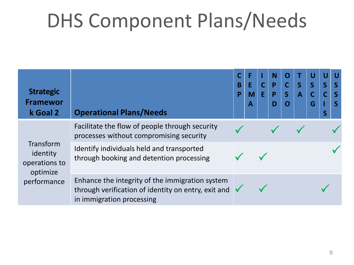## DHS Component Plans/Needs

| <b>Strategic</b><br><b>Framewor</b><br>k Goal 2                   | <b>Operational Plans/Needs</b>                                                                                                      | B<br>P | E.<br>M<br>$\mathbf{A}$ | E | <b>N</b><br>P<br>P<br>D | $\mathbf O$<br>$\overline{C}$<br>$\mathsf{S}$<br>$\mathbf O$ | $\mathsf{S}$<br>$\mathbf{A}$ | $\mathsf{U}$<br>$\mathsf{S}$<br>$\mathsf{C}$<br>G | U<br>S<br>S | $\cup$<br>S<br>S<br>S |
|-------------------------------------------------------------------|-------------------------------------------------------------------------------------------------------------------------------------|--------|-------------------------|---|-------------------------|--------------------------------------------------------------|------------------------------|---------------------------------------------------|-------------|-----------------------|
| Transform<br>identity<br>operations to<br>optimize<br>performance | Facilitate the flow of people through security<br>processes without compromising security                                           |        |                         |   |                         |                                                              |                              |                                                   |             |                       |
|                                                                   | Identify individuals held and transported<br>through booking and detention processing                                               |        |                         |   |                         |                                                              |                              |                                                   |             |                       |
|                                                                   | Enhance the integrity of the immigration system<br>through verification of identity on entry, exit and<br>in immigration processing |        |                         |   |                         |                                                              |                              |                                                   |             |                       |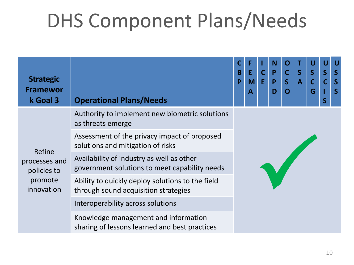## DHS Component Plans/Needs

| <b>Strategic</b><br><b>Framewor</b><br>k Goal 3                 | <b>Operational Plans/Needs</b>                                                             | С<br>B<br>P | E<br>M<br>A | $\mathsf{C}$<br>E | N<br>$\mathsf{P}$<br>P<br>D | O<br>$\mathbf C$<br>$\overline{\mathsf{S}}$<br>$\mathbf O$ | $\mathsf{S}$<br>$\mathbf{A}$ | U<br>$\mathsf{S}$<br>$\overline{C}$<br>G | U<br>$\overline{\mathsf{S}}$<br>$\overline{C}$<br>S | $\mathsf{S}$<br>$\mathsf{S}$<br>S |
|-----------------------------------------------------------------|--------------------------------------------------------------------------------------------|-------------|-------------|-------------------|-----------------------------|------------------------------------------------------------|------------------------------|------------------------------------------|-----------------------------------------------------|-----------------------------------|
| Refine<br>processes and<br>policies to<br>promote<br>innovation | Authority to implement new biometric solutions<br>as threats emerge                        |             |             |                   |                             |                                                            |                              |                                          |                                                     |                                   |
|                                                                 | Assessment of the privacy impact of proposed<br>solutions and mitigation of risks          |             |             |                   |                             |                                                            |                              |                                          |                                                     |                                   |
|                                                                 | Availability of industry as well as other<br>government solutions to meet capability needs |             |             |                   |                             |                                                            |                              |                                          |                                                     |                                   |
|                                                                 | Ability to quickly deploy solutions to the field<br>through sound acquisition strategies   |             |             |                   |                             |                                                            |                              |                                          |                                                     |                                   |
|                                                                 | Interoperability across solutions                                                          |             |             |                   |                             |                                                            |                              |                                          |                                                     |                                   |
|                                                                 | Knowledge management and information<br>sharing of lessons learned and best practices      |             |             |                   |                             |                                                            |                              |                                          |                                                     |                                   |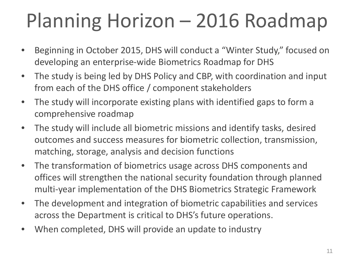# Planning Horizon – 2016 Roadmap

- • Beginning in October 2015, DHS will conduct a "Winter Study," focused on developing an enterprise-wide Biometrics Roadmap for DHS
- • The study is being led by DHS Policy and CBP, with coordination and input from each of the DHS office / component stakeholders
- • The study will incorporate existing plans with identified gaps to form a comprehensive roadmap
- • The study will include all biometric missions and identify tasks, desired outcomes and success measures for biometric collection, transmission, matching, storage, analysis and decision functions
- • The transformation of biometrics usage across DHS components and offices will strengthen the national security foundation through planned multi-year implementation of the DHS Biometrics Strategic Framework
- • The development and integration of biometric capabilities and services across the Department is critical to DHS's future operations.
- When completed, DHS will provide an update to industry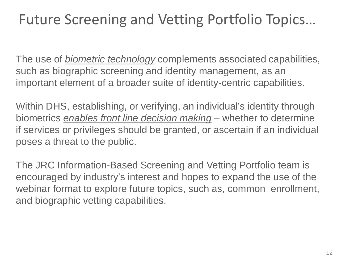### Future Screening and Vetting Portfolio Topics…

 important element of a broader suite of identity‐centric capabilities. The use of *biometric technology* complements associated capabilities, such as biographic screening and identity management, as an

 Within DHS, establishing, or verifying, an individual's identity through if services or privileges should be granted, or ascertain if an individual poses a threat to the public. biometrics *enables front line decision making* – whether to determine

 The JRC Information-Based Screening and Vetting Portfolio team is encouraged by industry's interest and hopes to expand the use of the webinar format to explore future topics, such as, common enrollment, and biographic vetting capabilities.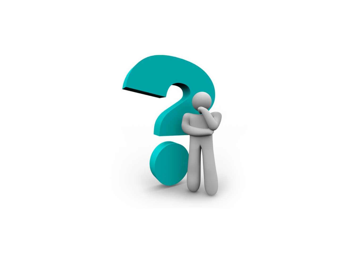